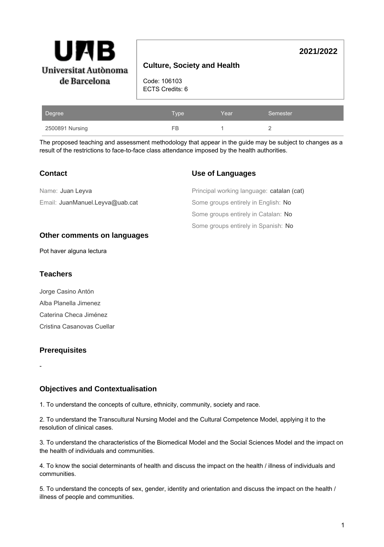

## **Culture, Society and Health**

Code: 106103 ECTS Credits: 6

| Degree          | Type | Year | Semester |
|-----------------|------|------|----------|
| 2500891 Nursing | FB   |      |          |

The proposed teaching and assessment methodology that appear in the guide may be subject to changes as a result of the restrictions to face-to-face class attendance imposed by the health authorities.

| <b>Contact</b>                  | <b>Use of Languages</b>                   |
|---------------------------------|-------------------------------------------|
| Name: Juan Leyva                | Principal working language: catalan (cat) |
| Email: JuanManuel.Leyva@uab.cat | Some groups entirely in English: No       |
|                                 | Some groups entirely in Catalan: No       |
|                                 | Some groups entirely in Spanish: No       |

### **Other comments on languages**

Pot haver alguna lectura

#### **Teachers**

Jorge Casino Antón Alba Planella Jimenez Caterina Checa Jiménez Cristina Casanovas Cuellar

### **Prerequisites**

-

### **Objectives and Contextualisation**

1. To understand the concepts of culture, ethnicity, community, society and race.

2. To understand the Transcultural Nursing Model and the Cultural Competence Model, applying it to the resolution of clinical cases.

3. To understand the characteristics of the Biomedical Model and the Social Sciences Model and the impact on the health of individuals and communities.

4. To know the social determinants of health and discuss the impact on the health / illness of individuals and communities.

5. To understand the concepts of sex, gender, identity and orientation and discuss the impact on the health / illness of people and communities.

**2021/2022**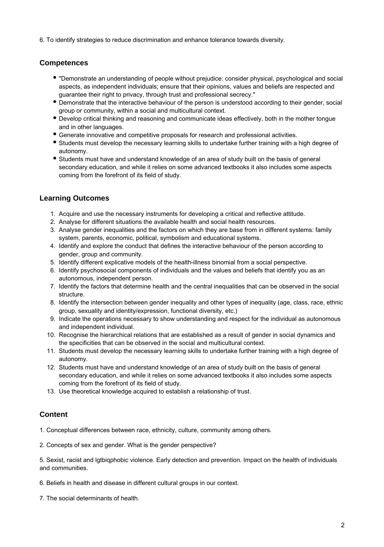6. To identify strategies to reduce discrimination and enhance tolerance towards diversity.

## **Competences**

- "Demonstrate an understanding of people without prejudice: consider physical, psychological and social aspects, as independent individuals; ensure that their opinions, values and beliefs are respected and guarantee their right to privacy, through trust and professional secrecy."
- Demonstrate that the interactive behaviour of the person is understood according to their gender, social group or community, within a social and multicultural context.
- Develop critical thinking and reasoning and communicate ideas effectively, both in the mother tongue and in other languages.
- Generate innovative and competitive proposals for research and professional activities.
- Students must develop the necessary learning skills to undertake further training with a high degree of autonomy.
- Students must have and understand knowledge of an area of study built on the basis of general secondary education, and while it relies on some advanced textbooks it also includes some aspects coming from the forefront of its field of study.

# **Learning Outcomes**

- 1. Acquire and use the necessary instruments for developing a critical and reflective attitude.
- 2. Analyse for different situations the available health and social health resources.
- 3. Analyse gender inequalities and the factors on which they are base from in different systems: family system, parents, economic, political, symbolism and educational systems.
- 4. Identify and explore the conduct that defines the interactive behaviour of the person according to gender, group and community.
- 5. Identify different explicative models of the health-illness binomial from a social perspective.
- 6. Identify psychosocial components of individuals and the values and beliefs that identify you as an autonomous, independent person.
- 7. Identify the factors that determine health and the central inequalities that can be observed in the social structure.
- 8. Identify the intersection between gender inequality and other types of inequality (age, class, race, ethnic group, sexuality and identity/expression, functional diversity, etc.)
- 9. Indicate the operations necessary to show understanding and respect for the individual as autonomous and independent individual.
- 10. Recognise the hierarchical relations that are established as a result of gender in social dynamics and the specificities that can be observed in the social and multicultural context.
- 11. Students must develop the necessary learning skills to undertake further training with a high degree of autonomy.
- 12. Students must have and understand knowledge of an area of study built on the basis of general secondary education, and while it relies on some advanced textbooks it also includes some aspects coming from the forefront of its field of study.
- 13. Use theoretical knowledge acquired to establish a relationship of trust.

## **Content**

1. Conceptual differences between race, ethnicity, culture, community among others.

2. Concepts of sex and gender. What is the gender perspective?

5. Sexist, racist and lgtbiqphobic violence. Early detection and prevention. Impact on the health of individuals and communities.

6. Beliefs in health and disease in different cultural groups in our context.

7. The social determinants of health.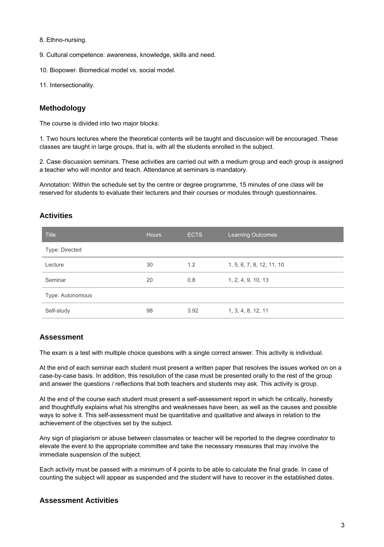- 8. Ethno-nursing.
- 9. Cultural competence: awareness, knowledge, skills and need.
- 10. Biopower. Biomedical model vs. social model.
- 11. Intersectionality.

#### **Methodology**

The course is divided into two major blocks:

1. Two hours lectures where the theoretical contents will be taught and discussion will be encouraged. These classes are taught in large groups, that is, with all the students enrolled in the subject.

2. Case discussion seminars. These activities are carried out with a medium group and each group is assigned a teacher who will monitor and teach. Attendance at seminars is mandatory.

Annotation: Within the schedule set by the centre or degree programme, 15 minutes of one class will be reserved for students to evaluate their lecturers and their courses or modules through questionnaires.

#### **Activities**

| <b>Title</b>     | <b>Hours</b> | <b>ECTS</b> | <b>Learning Outcomes</b>  |
|------------------|--------------|-------------|---------------------------|
| Type: Directed   |              |             |                           |
| Lecture          | 30           | 1.2         | 1, 5, 6, 7, 8, 12, 11, 10 |
| Seminar          | 20           | 0.8         | 1, 2, 4, 9, 10, 13        |
| Type: Autonomous |              |             |                           |
| Self-study       | 98           | 3.92        | 1, 3, 4, 8, 12, 11        |

#### **Assessment**

The exam is a test with multiple choice questions with a single correct answer. This activity is individual.

At the end of each seminar each student must present a written paper that resolves the issues worked on on a case-by-case basis. In addition, this resolution of the case must be presented orally to the rest of the group and answer the questions / reflections that both teachers and students may ask. This activity is group.

At the end of the course each student must present a self-assessment report in which he critically, honestly and thoughtfully explains what his strengths and weaknesses have been, as well as the causes and possible ways to solve it. This self-assessment must be quantitative and qualitative and always in relation to the achievement of the objectives set by the subject.

Any sign of plagiarism or abuse between classmates or teacher will be reported to the degree coordinator to elevate the event to the appropriate committee and take the necessary measures that may involve the immediate suspension of the subject.

Each activity must be passed with a minimum of 4 points to be able to calculate the final grade. In case of counting the subject will appear as suspended and the student will have to recover in the established dates.

### **Assessment Activities**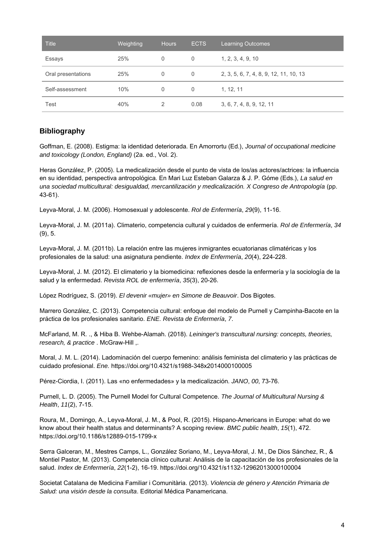| <b>Title</b>       | Weighting | <b>Hours</b> | <b>ECTS</b> | <b>Learning Outcomes</b>               |
|--------------------|-----------|--------------|-------------|----------------------------------------|
| Essays             | 25%       | 0            | $\Omega$    | 1, 2, 3, 4, 9, 10                      |
| Oral presentations | 25%       | 0            | 0           | 2, 3, 5, 6, 7, 4, 8, 9, 12, 11, 10, 13 |
| Self-assessment    | 10%       | 0            | $\Omega$    | 1, 12, 11                              |
| Test               | 40%       | 2            | 0.08        | 3, 6, 7, 4, 8, 9, 12, 11               |

## **Bibliography**

Goffman, E. (2008). Estigma: la identidad deteriorada. En Amorrortu (Ed.), Journal of occupational medicine and toxicology (London, England) (2a. ed., Vol. 2).

Heras González, P. (2005). La medicalización desde el punto de vista de los/as actores/actrices: la influencia en su identidad, perspectiva antropológica. En Mari Luz Esteban Galarza & J. P. Góme (Eds.), La salud en una sociedad multicultural: desigualdad, mercantilización y medicalización. X Congreso de Antropología (pp. 43-61).

Leyva-Moral, J. M. (2006). Homosexual y adolescente. Rol de Enfermería, 29(9), 11-16.

Leyva-Moral, J. M. (2011a). Climaterio, competencia cultural y cuidados de enfermería. Rol de Enfermería, 34 (9), 5.

Leyva-Moral, J. M. (2011b). La relación entre las mujeres inmigrantes ecuatorianas climatéricas y los profesionales de la salud: una asignatura pendiente. Index de Enfermería, 20(4), 224-228.

Leyva-Moral, J. M. (2012). El climaterio y la biomedicina: reflexiones desde la enfermería y la sociología de la salud y la enfermedad. Revista ROL de enfermería, 35(3), 20-26.

López Rodríguez, S. (2019). El devenir «mujer» en Simone de Beauvoir. Dos Bigotes.

Marrero González, C. (2013). Competencia cultural: enfoque del modelo de Purnell y Campinha-Bacote en la práctica de los profesionales sanitario. ENE. Revista de Enfermería, 7.

McFarland, M. R. ., & Hiba B. Wehbe-Alamah. (2018). Leininger's transcultural nursing: concepts, theories, research, & practice . McGraw-Hill ,.

Moral, J. M. L. (2014). Ladominación del cuerpo femenino: análisis feminista del climaterio y las prácticas de cuidado profesional. Ene. https://doi.org/10.4321/s1988-348x2014000100005

Pérez-Ciordia, I. (2011). Las «no enfermedades» y la medicalización. JANO, 00, 73-76.

Purnell, L. D. (2005). The Purnell Model for Cultural Competence. The Journal of Multicultural Nursing & Health, 11(2), 7-15.

Roura, M., Domingo, A., Leyva-Moral, J. M., & Pool, R. (2015). Hispano-Americans in Europe: what do we know about their health status and determinants? A scoping review. BMC public health, 15(1), 472. https://doi.org/10.1186/s12889-015-1799-x

Serra Galceran, M., Mestres Camps, L., González Soriano, M., Leyva-Moral, J. M., De Dios Sánchez, R., & Montiel Pastor, M. (2013). Competencia clínico cultural: Análisis de la capacitación de los profesionales de la salud. Index de Enfermería, 22(1-2), 16-19. https://doi.org/10.4321/s1132-12962013000100004

Societat Catalana de Medicina Familiar i Comunitària. (2013). Violencia de género y Atención Primaria de Salud: una visión desde la consulta. Editorial Médica Panamericana.